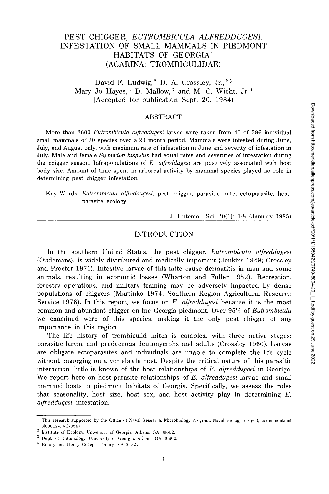# **PEST CHIGGER,** *EUTROMBICULA ALFREDDUGESI*  **INFESTATION OF SMALL MAMMALS IN PIEDMONT HABITATS OF GEORGIA<sup>1</sup> (ACARINA: TROMBICULIDAE)**

## David F. Ludwig,  $2$  D. A. Crossley, Jr.,  $2.3$ Mary Jo Hayes,  $3$  D. Mallow,  $3$  and M. C. Wicht, Jr.  $4$ (Accepted for publication Sept. 20, 1984)

#### ABSTRACT

**More than 2600** *Eutrombicula alfreddugesi* **larvae were taken from 40 of 596 individual small mammals of 20 species over a 23 month period. Mammals were infested during June, July, and August only, with maximum rate of infestation in June and severity of infestation in July. Male and female** *Sigmodon hispidus* **had equal rates and severities of infestation during the chigger season. Infrapopulations of** *E. alfreddugesi* **are positively associated with host body size. Amount of time spent in arboreal activity by mammal species played no role in determining pest chigger infestation.** 

**Key Words:** *Eutrombicula alfreddugesi,* **pest chigger, parasitic mite, ectoparasite, hostparasite ecology.** 

**J. Entomol. Sci. 20(1): 1-8 (January 1985)** 

#### INTRODUCTION

In the southern United States, the pest chigger, *Eutrombicula alfreddugesi*  (Oudemans), is widely distributed and medically important (Jenkins 1949; Crossley and Proctor 1971). Infestive larvae of this mite cause dermatitis in man and some animals, resulting in economic losses (Wharton and Fuller 1952). Recreation, forestry operations, and military training may be adversely impacted by dense populations of chiggers (Martinko 1974; Southern Region Agricultural Research Service 1976). In this report, we focus on *E. alfreddugesi* because it is the most common and abundant chigger on the Georgia piedmont. Over 95% of *Eutrombicula*  we examined were of this species, making it the only pest chigger of any importance in this region.

The life history of trombiculid mites is complex, with three active stages: parasitic larvae and predaceous deutonymphs and adults (Crossley 1960). Larvae are obligate ectoparasites and individuals are unable to complete the life cycle without engorging on a vertebrate host. Despite the critical nature of this parasitic interaction, little is known of the host relationships of *E. alfreddugesi* in Georiga. We report here on host-parasite relationships of *E. alfreddugesi* larvae and small mammal hosts in piedmont habitats of Georgia. Specifically, we assess the roles that seasonality, host size, host sex, and host activity play in determining *E. alfreddugesi* infestation.

<sup>1</sup> This research supported by the Office of Naval Research, Microbiology Program, Naval Biology Project, under contract N00012-80-C-0547.

<sup>2</sup> Institute of Ecology, University of Georgia, Athens, GA 30602.

 $3$  Dept. of Entomology, University of Georgia, Athens, GA 30602.

<sup>&</sup>lt;sup>4</sup> Emory and Henry College, Emory, VA 24327.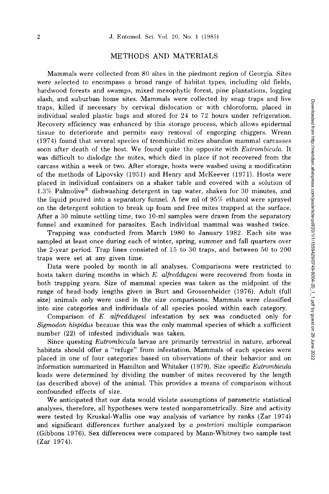## **METHODS AND MATERIALS**

Mammals were collected from 80 sites in the piedmont region of Georgia. Sites were selected to encompass a broad range of habitat types, including old fields, hardwood forests and swamps, mixed mesophytic forest, pine plantations, logging slash, and suburban home sites. Mammals were collected by snap traps and live traps, killed if necessary by cervical dislocation or with chloroform, placed in individual sealed plastic bags and stored for 24 to 72 hours under refrigeration. Recovery efficiency was enhanced by this storage process, which allows epidermal tissue to deteriorate and permits easy removal of engorging chiggers. Wrenn (1974) found that several species of trombiculid mites abandon mammal carcasses soon after death of the host. We found quite the opposite with *Eutrombicula.* It was difficult to dislodge the mites, which died in place if not recovered from the carcass within a week or two. After storage, hosts were washed using a modification of the methods of Lipovsky (1951) and Henry and McKeever (1971). Hosts were placed in individual containers on a shaker table and covered with a solution of 1.3% Palmolive® dishwashing detergent in tap water, shaken for 30 minutes, and the liquid poured into a separatory funnel. A few ml of 95% ethanol were sprayed on the detergent solution to break up foam and free mites trapped at the surface. After a 30 minute settling time, two 10-ml samples were drawn from the separatory funnel and examined for parasites. Each individual mammal was washed twice.

Trapping was conducted from March 1980 to January 1982. Each site was sampled at least once during each of winter, spring, summer and fall quarters over the 2-year period. Trap lines consisted of 15 to 30 traps, and between 50 to 200 traps were set at any given time.

Data were pooled by month in all analyses. Comparisons were restricted to hosts taken during months in which *E. alfreddugesi* were recovered from hosts in both trapping years. Size of mammal species was taken as the midpoint of the range of head-body lengths given in Burt and Grossenheider (1976). Adult (full size) animals only were used in the size comparisons. Mammals were classified into size categories and individuals of all species pooled within each category.

Comparison of *E. alfreddugesi* infestation by sex was conducted only for *Sigmodon hispidus* because this was the only mammal species of which a sufficient number (22) of infested individuals was taken.

Since questing *Eutrombicula* larvae are primarily terrestrial in nature, arboreal habitats should offer a "refuge" from infestation. Mammals of each species were placed in one of four categories based on observations of their behavior and on information summarized in Hamilton and Whitaker (1979). Size specific *Eutrombicula*  loads were determined by dividing the number of mites recovered by the length (as described above) of the animal. This provides a means of comparison without confounded effects of size.

We anticipated that our data would violate assumptions of parametric statistical analyses, therefore, all hypotheses were tested nonparametrically. Size and activity were tested by Kruskal-Wallis one way analysis of variance by ranks (Zar 1974) and significant differences further analyzed by *a posteriori* multiple comparison (Gibbons 1976). Sex differences were compared by Mann-Whitney two sample test (Zar 1974).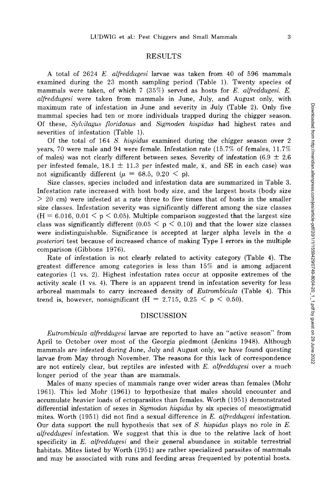### **RESULTS**

A total of 2624 *E. alfreddugesi* larvae was taken from 40 of 596 mammals examined during the 23 month sampling period (Table 1). Twenty species of mammals were taken, of which 7 (35%) served as hosts for *E. alfreddugesi. E. alfreddugesi* were taken from mammals in June, July, and August only, with maximum rate of infestation in June and severity in July (Table 2). Only five mammal species had ten or more individuals trapped during the chigger season. Of these, *Sylvilagus floridanus* and *Sigmoden hispidus* had highest rates and severities of infestation (Table 1).

Of the total of 164 *S. hispidus* examined during the chigger season over 2 years, 70 were male and 94 were female. Infestation rate (15.7% of females, 11.7% of males) was not clearly different between sexes. Severity of infestation  $(6.9 \pm 2.6$ per infested female, 18.1  $\pm$  11.3 per infested male,  $\bar{x}$ , and SE in each case) was not significantly different ( $\mu$  = 68.5, 0.20  $\leq$  p).

Size classes, species included and infestation data are summarized in Table 3. Infestation rate increased with host body size, and the largest hosts (body size  $> 20$  cm) were infested at a rate three to five times that of hosts in the smaller size classes. Infestation severity was significantly different among the size classes  $(H = 6.016, 0.01 \le p \le 0.05)$ . Multiple comparison suggested that the largest size class was significantly different  $(0.05 \leq p \leq 0.10)$  and that the lower size classes were indistinguishable. Significance is accepted at larger alpha levels in the *a posteriori* test because of increased chance of making Type I errors in the multiple comparison (Gibbons 1976).

Rate of infestation is not clearly related to activity category (Table 4). The greatest difference among categories is less than 15% and is among adjacent categories (1 vs. 2). Highest infestation rates occur at opposite extremes of the activity scale (1 vs. 4). There is an apparent trend in infestation severity for less arboreal mammals to carry increased density of *Eutrombicula* (Table 4). This trend is, however, nonsignificant (H = 2.715, 0.25 < p < 0.50).

#### **DISCUSSION**

*Eutrombicula alfreddugesi* larvae are reported to have an "active season" from April to October over most of the Georgia piedmont (Jenkins 1948). Although mammals are infested during June, July and August only, we have found questing larvae from May through November. The reasons for this lack of correspondence are not entirely clear, but reptiles are infested with *E. alfreddugesi* over a much longer period of the year than are mammals.

Males of many species of mammals range over wider areas than females (Mohr 1961). This led Mohr (1961) to hypothesize that males should encounter and accumulate heavier loads of ectoparasites than females. Worth (1951) demonstrated differential infestation of sexes in *Sigmodon hispidus* by six species of mesostigmatid mites. Worth (1951) did not find a sexual difference in *E. alfreddugesi* infestation. Our data support the null hypothesis that sex of *S. hispidus* plays no role in *E. alfreddugesi* infestation. We suggest that this is due to the relative lack of host specificity in *E. alfreddugesi* and their general abundance in suitable terrestrial habitats. Mites listed by Worth (1951) are rather specialized parasites of mammals and may be associated with runs and feeding areas frequented by potential hosts.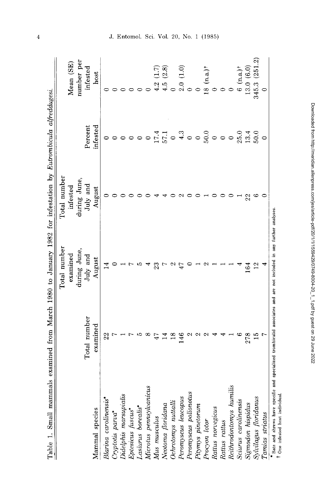| Table 1. Small mammals examined from March 1980 to January 1982 for infestation by Eutrombicula alfreddugesi.                                        |                |                                                                                            |              |                                       |                          |
|------------------------------------------------------------------------------------------------------------------------------------------------------|----------------|--------------------------------------------------------------------------------------------|--------------|---------------------------------------|--------------------------|
|                                                                                                                                                      |                | Total number                                                                               | Total number |                                       |                          |
|                                                                                                                                                      |                | examined                                                                                   | infested     |                                       | Mean (SE)                |
|                                                                                                                                                      |                | during June,                                                                               | during June, |                                       | number per               |
|                                                                                                                                                      | Total number   | July and                                                                                   | July and     | Percent                               | infested                 |
| Mammal species                                                                                                                                       | examined       | August                                                                                     | August       | infested                              | host                     |
| Blarina carolinensis <sup>*</sup>                                                                                                                    | 22             | $\frac{4}{1}$                                                                              |              |                                       |                          |
|                                                                                                                                                      |                |                                                                                            |              |                                       |                          |
|                                                                                                                                                      |                |                                                                                            |              |                                       |                          |
| Cryptoiis parva*<br>Didelphis marsupialis<br>Eptesicus fuscus*<br>Lasiurus borealis*<br>Microtus pennsylvanicus<br>Mus musculus<br>Neotoma floridana |                |                                                                                            |              |                                       |                          |
|                                                                                                                                                      |                |                                                                                            |              |                                       |                          |
|                                                                                                                                                      |                |                                                                                            |              |                                       |                          |
|                                                                                                                                                      |                |                                                                                            |              |                                       | (1.7)<br>4.2             |
|                                                                                                                                                      |                |                                                                                            |              |                                       | (2.8)<br>4.5             |
| Ochrotomys nuttalli                                                                                                                                  |                |                                                                                            |              | $17.1$<br>$57.1$ $3$<br>$50.3$ $60.0$ |                          |
| Peromyscus leucopus<br>Peromyscus polionotus                                                                                                         | $\frac{46}{5}$ |                                                                                            |              |                                       | (1.0)<br>2.0             |
|                                                                                                                                                      |                |                                                                                            |              |                                       |                          |
|                                                                                                                                                      |                |                                                                                            |              |                                       |                          |
| Pitymys pinetorum<br>Procyon lotor<br>Rattus norvegicus<br>Rattus rattus                                                                             |                |                                                                                            |              |                                       | $18 (n.a.)$ <sup>†</sup> |
|                                                                                                                                                      |                |                                                                                            |              |                                       |                          |
|                                                                                                                                                      |                |                                                                                            |              |                                       |                          |
| Reithrodontomys humilis                                                                                                                              |                |                                                                                            |              | $\circ$                               |                          |
|                                                                                                                                                      |                |                                                                                            |              |                                       | $6 (n.a.)$ <sup>†</sup>  |
| Sciurus carolinensis<br>Sigmodon hispidus<br>Sylvilagus floridanus                                                                                   | 278            | 164                                                                                        | 22           | $25.0$<br>$13.4$<br>$50.0$            | 13.0(6.0)                |
|                                                                                                                                                      |                |                                                                                            |              |                                       | 345.3 (251.2)            |
| Tamias striatus                                                                                                                                      |                |                                                                                            |              |                                       |                          |
| $\bullet$ Bate and shrows have snow                                                                                                                  |                | wifin and enorialized trombinitid accordiates and are not included in any further analyses |              |                                       |                          |

Downloaded from http://meridian.allenpress.com/jes/article-pdf/20/11/1559429/0749-8004-20\_1\_1.pdf by guest on 29 June 2022

# J. Entomol. Sci. Vol. 20, No. 1 (1985)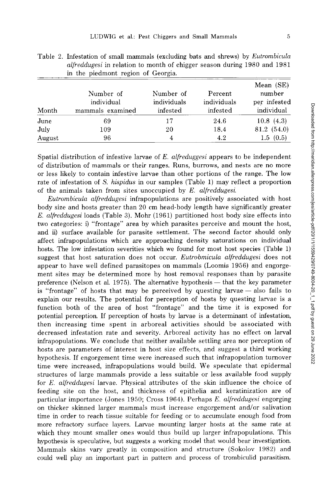| Month  | Number of<br>individual<br>mammals examined | Number of<br>individuals<br>infested | Percent<br>individuals<br>infested | Mean (SE)<br>number<br>per infested<br>individual |
|--------|---------------------------------------------|--------------------------------------|------------------------------------|---------------------------------------------------|
| June   | 69                                          | 17                                   | 24.6                               | 10.8(4.3)                                         |
| July   | 109                                         | 20                                   | 18.4                               | 81.2 (54.0)                                       |
| August | 96                                          |                                      | 4.2                                | 1.5(0.5)                                          |

Table 2. Infestation of small mammals (excluding bats and shrews) by *Eutrombicula alfreddugesi* in relation to month of chigger season during 1980 and 1981 in the piedmont region of Georgia.

Spatial distribution of infestive larvae of *E. alfreduggesi* appears to be independent of distribution of mammals or their ranges. Runs, burrows, and nests are no more or less likely to contain infestive larvae than other portions of the range. The low rate of infestation of *S. hispidus* in our samples (Table 1) may reflect a proportion of the animals taken from sites unoccupied by *E. alfreddugesi.* 

*Eutrombicula alfreddugesi* infrapopulations are positively associated with host body size and hosts greater than 20 cm head-body length have significantly greater *E. alfreddugesi* loads (Table 3). Mohr (1961) partitioned host body size effects into two categories: i) "frontage" area by which parasites perceive and mount the host, and ii) surface available for parasite settlement. The second factor should only affect infrapopulations which are approaching density saturations on individual hosts. The low infestation severities which we found for most host species (Table 1) suggest that host saturation does not occur. *Eutrobmicula alfreddugesi* does not appear to have well defined parasitopes on mammals (Loomis 1956) and engorgement sites may be determined more by host removal responses than by parasite preference (Nelson et al. 1975). The alternative hypothesis — that the key parameter is "frontage" of hosts that may be perceived by questing larvae — also fails to explain our results. The potential for perception of hosts by questing larvae is a function both of the area of host "frontage" and the time it is exposed for potential perception. If perception of hosts by larvae is a determinant of infestation, then increasing time spent in arboreal activities should be associated with decreased infestation rate and severity. Arboreal activity has no effect on larval infrapopulations. We conclude that neither available settling area nor perception of hosts are parameters of interest in host size effects, and suggest a third working hypothesis. If engorgement time were increased such that infrapopulation turnover time were increased, infrapopulations would build. We speculate that epidermal structures of large mammals provide a less suitable or less available food supply for *E. alfreddugesi* larvae. Physical attributes of the skin influence the choice of feeding site on the host, and thickness of epithelia and keratinization are of particular importance (Jones 1950; Cross 1964). Perhaps *E. alfreddugesi* engorging on thicker skinned larger mammals must increase engorgement and/or salivation time in order to reach tissue suitable for feeding or to accumulate enough food from more refractory surface layers. Larvae mounting larger hosts at the same rate at which they mount smaller ones would thus build up larger infrapopulations. This hypothesis is speculative, but suggests a working model that would bear investigation. Mammals skins vary greatly in composition and structure (Sokolov 1982) and could well play an important part in pattern and process of trombiculid parasitism.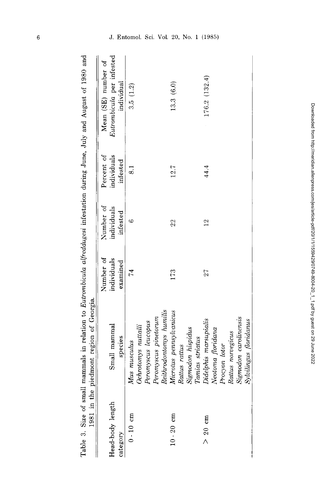| $1981$ in t      | the piedmont region of Georgia. |                          |                          |                           |                                                  |
|------------------|---------------------------------|--------------------------|--------------------------|---------------------------|--------------------------------------------------|
| Head-body length | Small mammal                    | Number of<br>individuals | Number of<br>individuals | individuals<br>Percent of | Eutrombicula per infested<br>Mean (SE) number of |
| category         | species                         | examined                 | infested                 | infested                  | individual                                       |
| $0 - 10$ cm      | Mus musculus                    | 74                       | G                        | $\overline{8.1}$          | 3.5(1.2)                                         |
|                  | Ochrotomys nuttalli             |                          |                          |                           |                                                  |
|                  | Peromyscus leucopus             |                          |                          |                           |                                                  |
|                  | Peromyscus pinetorum            |                          |                          |                           |                                                  |
|                  | Reithrodontomys humilis         |                          |                          |                           |                                                  |
| $10 - 20$ cm     | Microtus pennsylvanicus         | 173                      | 22                       | 12.7                      | 13.3 (6.0)                                       |
|                  | Rattus rattus                   |                          |                          |                           |                                                  |
|                  | Sigmodon hispidus               |                          |                          |                           |                                                  |
|                  | Tamias striatus                 |                          |                          |                           |                                                  |
| $> 20$ cm        | Didelphis marsupialis           | 27                       | 12                       | 44.4                      | 176.2 (132.4)                                    |
|                  | Neotoma floridana               |                          |                          |                           |                                                  |
|                  | Procyon lotor                   |                          |                          |                           |                                                  |
|                  | Rattus norvegicus               |                          |                          |                           |                                                  |
|                  | Sigmodon carolinensis           |                          |                          |                           |                                                  |
|                  | Sylvilingus floridanus          |                          |                          |                           |                                                  |
|                  |                                 |                          |                          |                           |                                                  |

Table 3. Size of small mammals in relation to Eutrombicula alfreddugesi infestation during June, July and August of 1980 and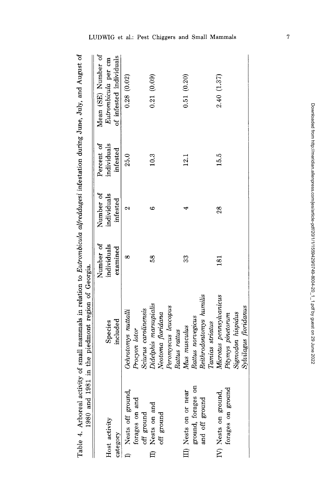| references interested distinguished in the state of an and another<br>:<br>:<br>$\sim$ THE value, valy.<br>$\sim$ $\sim$ $\sim$ $\sim$<br>centurity of small mammals in relation to kintrombionic after<br>where the most come | ;<br>י<br>1981 in the piedmont region of C |
|--------------------------------------------------------------------------------------------------------------------------------------------------------------------------------------------------------------------------------|--------------------------------------------|
| į                                                                                                                                                                                                                              |                                            |

| nma oorr                         | post one predittion region or developed |                |             |             |                         |
|----------------------------------|-----------------------------------------|----------------|-------------|-------------|-------------------------|
|                                  |                                         | Number of      | Number of   | Percent of  | Mean (SE) Number of     |
| Host activity                    | Species                                 | individuals    | individuals | individuals | Eutrombicula per cm     |
| category                         | included                                | examined       | infested    | infested    | of infested individuals |
| Nests off ground,                | Ochrotomys nuttalli                     | œ              | Z           | 25.0        | 0.28(0.02)              |
| forages on and                   | Procyon lotor                           |                |             |             |                         |
| off ground                       | Sciurus carolinensis                    |                |             |             |                         |
| Nests on and                     | Didelphis marsupialis                   | $\frac{8}{5}$  | అ           | 10.3        | 0.21(0.09)              |
| off ground                       | Neotoma floridana                       |                |             |             |                         |
|                                  | Peromyscus leucopus                     |                |             |             |                         |
|                                  | Rattus rattus                           |                |             |             |                         |
| III) Nests on or near            | Mus musculus                            | 33             |             | 12.1        | 0.51(0.20)              |
| $\frac{5}{2}$<br>ground, forages | Rattus norvegicus                       |                |             |             |                         |
| and off ground                   | Reithrodontomys humilis                 |                |             |             |                         |
|                                  | Tamias striatus                         |                |             |             |                         |
| IV) Nests on ground,             | Microtus pennsylvanicus                 | $\frac{81}{2}$ | 28          | 15.5        | 2.40 (1.37)             |
| forages on ground                | Pitymys pinetorum                       |                |             |             |                         |
|                                  | Sigmodon hispidus                       |                |             |             |                         |
|                                  | Sylvilagus floridanus                   |                |             |             |                         |
|                                  |                                         |                |             |             |                         |